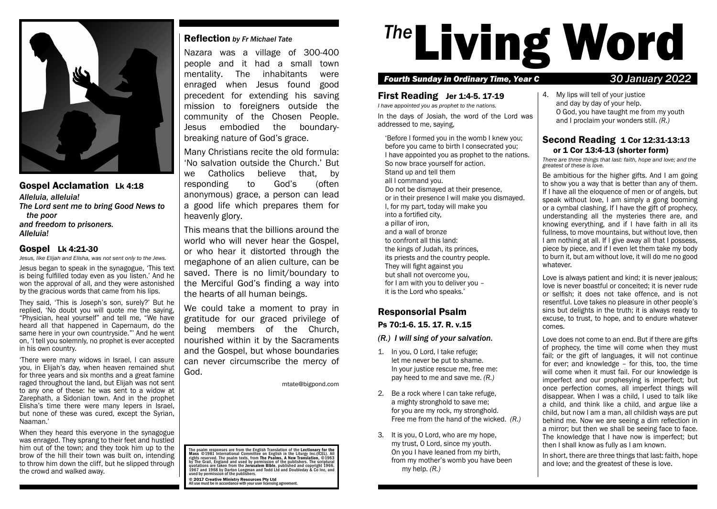

# Gospel Acclamation Lk 4:18

*Alleluia, alleluia! The Lord sent me to bring Good News to the poor and freedom to prisoners. Alleluia!*

### Gospel Lk 4:21-30

*Jesus, like Elijah and Elisha, was not sent only to the Jews.*

Jesus began to speak in the synagogue, 'This text is being fulfilled today even as you listen.' And he won the approval of all, and they were astonished by the gracious words that came from his lips.

They said, 'This is Joseph's son, surely?' But he replied, 'No doubt you will quote me the saying, "Physician, heal yourself" and tell me, "We have heard all that happened in Capernaum, do the same here in your own countryside."' And he went on, 'I tell you solemnly, no prophet is ever accepted in his own country.

'There were many widows in Israel, I can assure you, in Elijah's day, when heaven remained shut for three years and six months and a great famine raged throughout the land, but Elijah was not sent to any one of these: he was sent to a widow at Zarephath, a Sidonian town. And in the prophet Elisha's time there were many lepers in Israel, but none of these was cured, except the Syrian, Naaman.'

When they heard this everyone in the synagogue was enraged. They sprang to their feet and hustled him out of the town; and they took him up to the brow of the hill their town was built on, intending to throw him down the cliff, but he slipped through the crowd and walked away.

# Reflection *by Fr Michael Tate*

Nazara was a village of 300-400 people and it had a small town mentality. The inhabitants were enraged when Jesus found good precedent for extending his saving mission to foreigners outside the community of the Chosen People. Jesus embodied the boundarybreaking nature of God's grace.

Many Christians recite the old formula: 'No salvation outside the Church.' But we Catholics believe that, by responding to God's (often anonymous) grace, a person can lead a good life which prepares them for heavenly glory.

This means that the billions around the world who will never hear the Gospel, or who hear it distorted through the megaphone of an alien culture, can be saved. There is no limit/boundary to the Merciful God's finding a way into the hearts of all human beings.

We could take a moment to pray in gratitude for our graced privilege of being members of the Church, nourished within it by the Sacraments and the Gospel, but whose boundaries can never circumscribe the mercy of God.

mtate@bigpond.com

The psalm responses are from the English Translation of the Lectionary for the<br>Mass ©1981 International Committee on English in the Liturgy Inc.(ICEL). All rights reserved. The psalm texts, from The Psalms, A New Translation, ©1963<br>by The Grail, England and used by permission of the publishers. The scriptural<br>quotations are taken from the Jerusalem Bible, published and copyri

© 2017 Creative Ministry Resources Pty Ltd All use must be in accordance with your user licensing agreement.

# <sup>The</sup>Living Word

### *Fourth Sunday in Ordinary Time, Year C 30 January 2022*

First Reading Jer 1:4-5. 17-19

*I have appointed you as prophet to the nations.*

In the days of Josiah, the word of the Lord was addressed to me, saying,

'Before I formed you in the womb I knew you; before you came to birth I consecrated you; I have appointed you as prophet to the nations. So now brace yourself for action. Stand up and tell them all I command you. Do not be dismayed at their presence, or in their presence I will make you dismayed. I, for my part, today will make you into a fortified city, a pillar of iron, and a wall of bronze to confront all this land: the kings of Judah, its princes, its priests and the country people. They will fight against you but shall not overcome you, for I am with you to deliver you – it is the Lord who speaks.'

# Responsorial Psalm Ps 70:1-6. 15. 17. R. v.15

#### *(R.) I will sing of your salvation.*

- 1. In you, O Lord, I take refuge; let me never be put to shame. In your justice rescue me, free me: pay heed to me and save me. *(R.)*
- 2. Be a rock where I can take refuge, a mighty stronghold to save me; for you are my rock, my stronghold. Free me from the hand of the wicked. *(R.)*
- 3. It is you, O Lord, who are my hope, my trust, O Lord, since my youth. On you I have leaned from my birth, from my mother's womb you have been my help. *(R.)*

4. My lips will tell of your justice and day by day of your help. O God, you have taught me from my youth and I proclaim your wonders still. *(R.)*

# Second Reading 1 Cor 12:31-13:13 or 1 Cor 13:4-13 (shorter form)

*There are three things that last: faith, hope and love; and the greatest of these is love.*

Be ambitious for the higher gifts. And I am going to show you a way that is better than any of them. If I have all the eloquence of men or of angels, but speak without love, I am simply a gong booming or a cymbal clashing. If I have the gift of prophecy, understanding all the mysteries there are, and knowing everything, and if I have faith in all its fullness, to move mountains, but without love, then I am nothing at all. If I give away all that I possess, piece by piece, and if I even let them take my body to burn it, but am without love, it will do me no good whatever.

Love is always patient and kind; it is never jealous; love is never boastful or conceited; it is never rude or selfish; it does not take offence, and is not resentful. Love takes no pleasure in other people's sins but delights in the truth; it is always ready to excuse, to trust, to hope, and to endure whatever comes.

Love does not come to an end. But if there are gifts of prophecy, the time will come when they must fail; or the gift of languages, it will not continue for ever; and knowledge – for this, too, the time will come when it must fail. For our knowledge is imperfect and our prophesying is imperfect; but once perfection comes, all imperfect things will disappear. When I was a child, I used to talk like a child, and think like a child, and argue like a child, but now I am a man, all childish ways are put behind me. Now we are seeing a dim reflection in a mirror; but then we shall be seeing face to face. The knowledge that I have now is imperfect; but then I shall know as fully as I am known.

In short, there are three things that last: faith, hope and love; and the greatest of these is love.